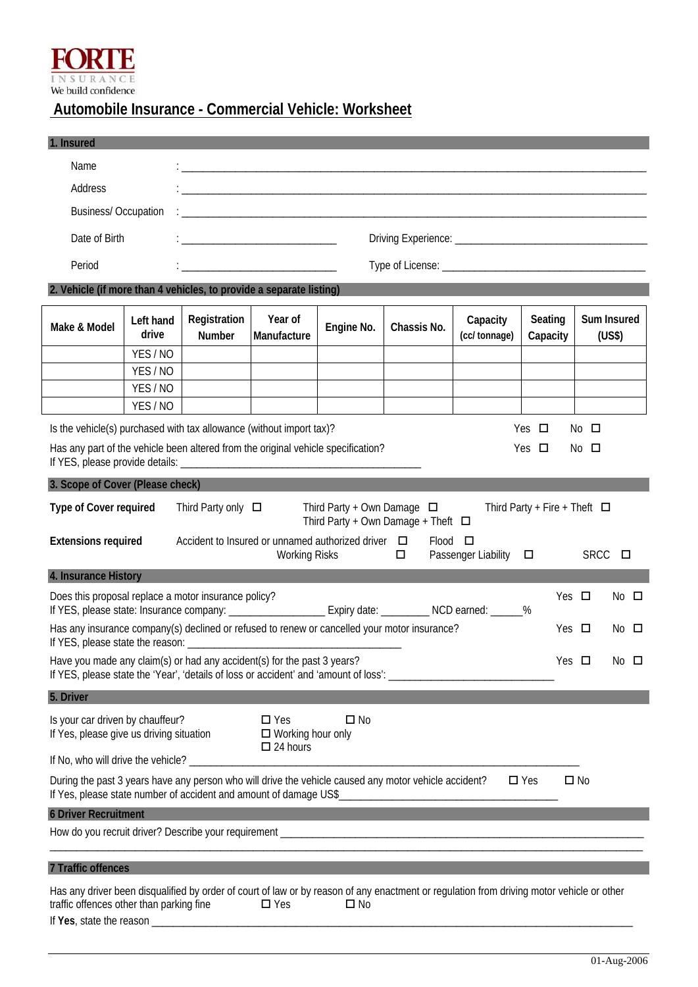

## **Automobile Insurance - Commercial Vehicle: Worksheet**

| 1. Insured                                                                                                                                                                                                                 |                      |                                                   |                                                                                                                       |            |                                                      |                           |                     |                       |  |
|----------------------------------------------------------------------------------------------------------------------------------------------------------------------------------------------------------------------------|----------------------|---------------------------------------------------|-----------------------------------------------------------------------------------------------------------------------|------------|------------------------------------------------------|---------------------------|---------------------|-----------------------|--|
| Name                                                                                                                                                                                                                       |                      |                                                   |                                                                                                                       |            |                                                      |                           |                     |                       |  |
| Address                                                                                                                                                                                                                    |                      |                                                   | <u> 1989 - Johann Harry Harry Harry Harry Harry Harry Harry Harry Harry Harry Harry Harry Harry Harry Harry Harry</u> |            |                                                      |                           |                     |                       |  |
| <b>Business/Occupation</b>                                                                                                                                                                                                 |                      |                                                   |                                                                                                                       |            | <u> 2000 - Jan Barnett, fransk politik (d. 1882)</u> |                           |                     |                       |  |
| Date of Birth                                                                                                                                                                                                              |                      |                                                   |                                                                                                                       |            |                                                      |                           |                     |                       |  |
| Period                                                                                                                                                                                                                     |                      | <u> 1980 - Johann Barbara, martxa alemaniar a</u> |                                                                                                                       |            |                                                      |                           |                     |                       |  |
| 2. Vehicle (if more than 4 vehicles, to provide a separate listing)                                                                                                                                                        |                      |                                                   |                                                                                                                       |            |                                                      |                           |                     |                       |  |
| Make & Model                                                                                                                                                                                                               | Left hand<br>drive   | Registration<br><b>Number</b>                     | Year of<br>Manufacture                                                                                                | Engine No. | Chassis No.                                          | Capacity<br>(cc/ tonnage) | Seating<br>Capacity | Sum Insured<br>(US\$) |  |
|                                                                                                                                                                                                                            | YES/NO               |                                                   |                                                                                                                       |            |                                                      |                           |                     |                       |  |
|                                                                                                                                                                                                                            | YES / NO<br>YES / NO |                                                   |                                                                                                                       |            |                                                      |                           |                     |                       |  |
|                                                                                                                                                                                                                            | YES / NO             |                                                   |                                                                                                                       |            |                                                      |                           |                     |                       |  |
| Is the vehicle(s) purchased with tax allowance (without import tax)?<br>$No$ $\square$<br>Yes $\Box$                                                                                                                       |                      |                                                   |                                                                                                                       |            |                                                      |                           |                     |                       |  |
| Has any part of the vehicle been altered from the original vehicle specification?<br>Yes $\Box$<br>No □                                                                                                                    |                      |                                                   |                                                                                                                       |            |                                                      |                           |                     |                       |  |
| 3. Scope of Cover (Please check)                                                                                                                                                                                           |                      |                                                   |                                                                                                                       |            |                                                      |                           |                     |                       |  |
| Type of Cover required<br>Third Party only $\Box$<br>Third Party + Own Damage $\Box$<br>Third Party + Fire + Theft $\Box$<br>Third Party + Own Damage + Theft $\Box$                                                       |                      |                                                   |                                                                                                                       |            |                                                      |                           |                     |                       |  |
| Accident to Insured or unnamed authorized driver $\Box$<br><b>Extensions required</b><br>$Flood$ $\Box$<br><b>Working Risks</b><br>Passenger Liability<br><b>SRCC</b><br>$\Box$<br>$\Box$<br>$\Box$                        |                      |                                                   |                                                                                                                       |            |                                                      |                           |                     |                       |  |
| 4. Insurance History                                                                                                                                                                                                       |                      |                                                   |                                                                                                                       |            |                                                      |                           |                     |                       |  |
| Does this proposal replace a motor insurance policy?<br>Yes $\Box$<br>If YES, please state: Insurance company: _____________________ Expiry date: _________ NCD earned: ______%                                            |                      |                                                   |                                                                                                                       |            |                                                      | $No$ $\square$            |                     |                       |  |
| Has any insurance company(s) declined or refused to renew or cancelled your motor insurance?                                                                                                                               |                      |                                                   |                                                                                                                       |            |                                                      |                           | Yes $\Box$          | No □                  |  |
| Have you made any claim(s) or had any accident(s) for the past 3 years?<br>Yes $\square$<br>No $\square$<br>If YES, please state the 'Year', 'details of loss or accident' and 'amount of loss': _________________________ |                      |                                                   |                                                                                                                       |            |                                                      |                           |                     |                       |  |
| 5. Driver                                                                                                                                                                                                                  |                      |                                                   |                                                                                                                       |            |                                                      |                           |                     |                       |  |
| Is your car driven by chauffeur?<br>$\square$ Yes<br>$\square$ No<br>If Yes, please give us driving situation<br>$\Box$ Working hour only                                                                                  |                      |                                                   |                                                                                                                       |            |                                                      |                           |                     |                       |  |
| $\square$ 24 hours<br>If No, who will drive the vehicle?                                                                                                                                                                   |                      |                                                   |                                                                                                                       |            |                                                      |                           |                     |                       |  |
| During the past 3 years have any person who will drive the vehicle caused any motor vehicle accident?<br>$\Box$ Yes<br>$\square$ No<br>If Yes, please state number of accident and amount of damage US\$                   |                      |                                                   |                                                                                                                       |            |                                                      |                           |                     |                       |  |
| <b>6 Driver Recruitment</b>                                                                                                                                                                                                |                      |                                                   |                                                                                                                       |            |                                                      |                           |                     |                       |  |
|                                                                                                                                                                                                                            |                      |                                                   |                                                                                                                       |            |                                                      |                           |                     |                       |  |
| 7 Traffic offences                                                                                                                                                                                                         |                      |                                                   |                                                                                                                       |            |                                                      |                           |                     |                       |  |
| Has any driver been disqualified by order of court of law or by reason of any enactment or regulation from driving motor vehicle or other<br>traffic offences other than parking fine<br>$\square$ Yes<br>$\square$ No     |                      |                                                   |                                                                                                                       |            |                                                      |                           |                     |                       |  |